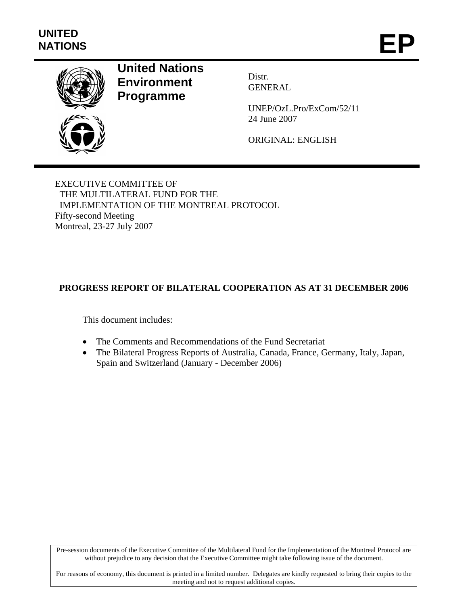

# **United Nations Environment Programme**

Distr. GENERAL

UNEP/OzL.Pro/ExCom/52/11 24 June 2007

ORIGINAL: ENGLISH

EXECUTIVE COMMITTEE OF THE MULTILATERAL FUND FOR THE IMPLEMENTATION OF THE MONTREAL PROTOCOL Fifty-second Meeting Montreal, 23-27 July 2007

## **PROGRESS REPORT OF BILATERAL COOPERATION AS AT 31 DECEMBER 2006**

This document includes:

- The Comments and Recommendations of the Fund Secretariat
- The Bilateral Progress Reports of Australia, Canada, France, Germany, Italy, Japan, Spain and Switzerland (January - December 2006)

Pre-session documents of the Executive Committee of the Multilateral Fund for the Implementation of the Montreal Protocol are without prejudice to any decision that the Executive Committee might take following issue of the document.

For reasons of economy, this document is printed in a limited number. Delegates are kindly requested to bring their copies to the meeting and not to request additional copies.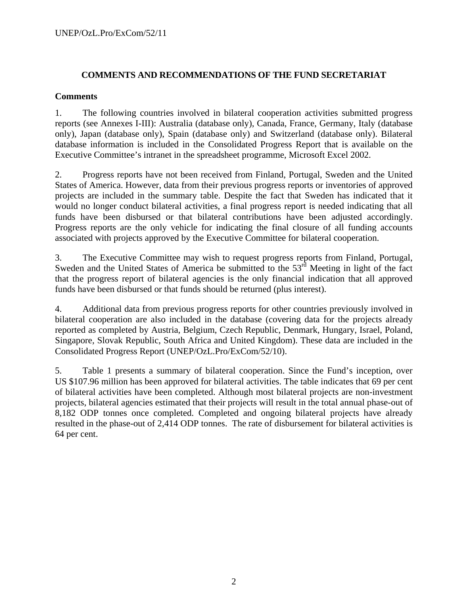### **COMMENTS AND RECOMMENDATIONS OF THE FUND SECRETARIAT**

### **Comments**

1. The following countries involved in bilateral cooperation activities submitted progress reports (see Annexes I-III): Australia (database only), Canada, France, Germany, Italy (database only), Japan (database only), Spain (database only) and Switzerland (database only). Bilateral database information is included in the Consolidated Progress Report that is available on the Executive Committee's intranet in the spreadsheet programme, Microsoft Excel 2002.

2. Progress reports have not been received from Finland, Portugal, Sweden and the United States of America. However, data from their previous progress reports or inventories of approved projects are included in the summary table. Despite the fact that Sweden has indicated that it would no longer conduct bilateral activities, a final progress report is needed indicating that all funds have been disbursed or that bilateral contributions have been adjusted accordingly. Progress reports are the only vehicle for indicating the final closure of all funding accounts associated with projects approved by the Executive Committee for bilateral cooperation.

3. The Executive Committee may wish to request progress reports from Finland, Portugal, Sweden and the United States of America be submitted to the  $53<sup>rd</sup>$  Meeting in light of the fact that the progress report of bilateral agencies is the only financial indication that all approved funds have been disbursed or that funds should be returned (plus interest).

4. Additional data from previous progress reports for other countries previously involved in bilateral cooperation are also included in the database (covering data for the projects already reported as completed by Austria, Belgium, Czech Republic, Denmark, Hungary, Israel, Poland, Singapore, Slovak Republic, South Africa and United Kingdom). These data are included in the Consolidated Progress Report (UNEP/OzL.Pro/ExCom/52/10).

5. Table 1 presents a summary of bilateral cooperation. Since the Fund's inception, over US \$107.96 million has been approved for bilateral activities. The table indicates that 69 per cent of bilateral activities have been completed. Although most bilateral projects are non-investment projects, bilateral agencies estimated that their projects will result in the total annual phase-out of 8,182 ODP tonnes once completed. Completed and ongoing bilateral projects have already resulted in the phase-out of 2,414 ODP tonnes. The rate of disbursement for bilateral activities is 64 per cent.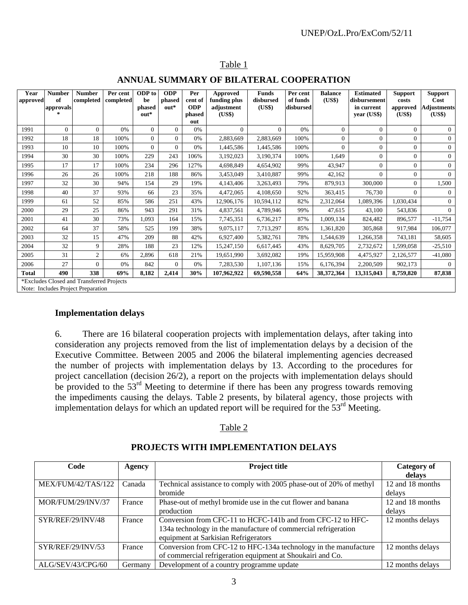| Year<br>approved | <b>Number</b><br>of                | <b>Number</b><br>completed                | Per cent<br>completed | <b>ODP</b> to<br>be | <b>ODP</b><br>phased | Per<br>cent of              | <b>Approved</b><br>funding plus | <b>Funds</b><br>disbursed | Per cent<br>of funds | <b>Balance</b><br>(US\$) | <b>Estimated</b><br>disbursement | <b>Support</b><br>costs | <b>Support</b><br>Cost       |
|------------------|------------------------------------|-------------------------------------------|-----------------------|---------------------|----------------------|-----------------------------|---------------------------------|---------------------------|----------------------|--------------------------|----------------------------------|-------------------------|------------------------------|
|                  | approvals<br>$\mathcal{H}$         |                                           |                       | phased<br>out*      | $out*$               | <b>ODP</b><br>phased<br>out | adjustment<br>(US\$)            | (US\$)                    | disbursed            |                          | in current<br>year (US\$)        | approved<br>(US\$)      | <b>Adjustments</b><br>(US\$) |
| 1991             | $\overline{0}$                     | $\Omega$                                  | 0%                    | $\Omega$            | $\Omega$             | 0%                          | $\Omega$                        | $\Omega$                  | 0%                   | $\mathbf{0}$             | $\Omega$                         | $\Omega$                | $\Omega$                     |
| 1992             | 18                                 | 18                                        | 100%                  | $\Omega$            | $\Omega$             | 0%                          | 2,883,669                       | 2,883,669                 | 100%                 | $\Omega$                 | $\boldsymbol{0}$                 | $\Omega$                | $\mathbf{0}$                 |
| 1993             | 10                                 | 10                                        | 100%                  | $\Omega$            | $\Omega$             | 0%                          | 1,445,586                       | 1,445,586                 | 100%                 | $\mathbf{0}$             | $\mathbf{0}$                     | $\mathbf{0}$            | $\mathbf{0}$                 |
| 1994             | 30                                 | 30                                        | 100%                  | 229                 | 243                  | 106%                        | 3,192,023                       | 3,190,374                 | 100%                 | 1,649                    | $\Omega$                         | $\Omega$                | $\mathbf{0}$                 |
| 1995             | 17                                 | 17                                        | 100%                  | 234                 | 296                  | 127%                        | 4,698,849                       | 4,654,902                 | 99%                  | 43.947                   | $\mathbf{0}$                     | $\Omega$                | $\mathbf{0}$                 |
| 1996             | 26                                 | 26                                        | 100%                  | 218                 | 188                  | 86%                         | 3,453,049                       | 3,410,887                 | 99%                  | 42,162                   | $\mathbf{0}$                     | $\mathbf{0}$            | $\mathbf{0}$                 |
| 1997             | 32                                 | 30                                        | 94%                   | 154                 | 29                   | 19%                         | 4,143,406                       | 3,263,493                 | 79%                  | 879,913                  | 300,000                          | $\overline{0}$          | 1,500                        |
| 1998             | 40                                 | 37                                        | 93%                   | 66                  | 23                   | 35%                         | 4,472,065                       | 4,108,650                 | 92%                  | 363,415                  | 76,730                           | $\Omega$                | $\theta$                     |
| 1999             | 61                                 | 52                                        | 85%                   | 586                 | 251                  | 43%                         | 12,906,176                      | 10,594,112                | 82%                  | 2,312,064                | 1,089,396                        | 1,030,434               | $\mathbf{0}$                 |
| 2000             | 29                                 | 25                                        | 86%                   | 943                 | 291                  | 31%                         | 4,837,561                       | 4,789,946                 | 99%                  | 47,615                   | 43,100                           | 543,836                 | $\Omega$                     |
| 2001             | 41                                 | 30                                        | 73%                   | 1.093               | 164                  | 15%                         | 7,745,351                       | 6,736,217                 | 87%                  | 1.009.134                | 824.482                          | 896,577                 | $-11,754$                    |
| 2002             | 64                                 | 37                                        | 58%                   | 525                 | 199                  | 38%                         | 9,075,117                       | 7,713,297                 | 85%                  | 1,361,820                | 305,868                          | 917,984                 | 106,077                      |
| 2003             | 32                                 | 15                                        | 47%                   | 209                 | 88                   | 42%                         | 6,927,400                       | 5,382,761                 | 78%                  | 1,544,639                | 1,266,358                        | 743,181                 | 58,605                       |
| 2004             | 32                                 | 9                                         | 28%                   | 188                 | 23                   | 12%                         | 15,247,150                      | 6,617,445                 | 43%                  | 8,629,705                | 2,732,672                        | 1,599,058               | $-25,510$                    |
| 2005             | 31                                 | $\overline{c}$                            | 6%                    | 2,896               | 618                  | 21%                         | 19,651,990                      | 3,692,082                 | 19%                  | 15.959.908               | 4,475,927                        | 2,126,577               | $-41,080$                    |
| 2006             | 27                                 | $\Omega$                                  | 0%                    | 842                 | $\Omega$             | 0%                          | 7,283,530                       | 1,107,136                 | 15%                  | 6,176,394                | 2,200,509                        | 902,173                 | $\Omega$                     |
| <b>Total</b>     | 490                                | 338                                       | 69%                   | 8,182               | 2,414                | 30%                         | 107,962,922                     | 69,590,558                | 64%                  | 38,372,364               | 13,315,043                       | 8,759,820               | 87,838                       |
|                  |                                    | *Excludes Closed and Transferred Projects |                       |                     |                      |                             |                                 |                           |                      |                          |                                  |                         |                              |
|                  | Note: Includes Project Preparation |                                           |                       |                     |                      |                             |                                 |                           |                      |                          |                                  |                         |                              |

## Table 1

### **ANNUAL SUMMARY OF BILATERAL COOPERATION**

**Implementation delays** 

6. There are 16 bilateral cooperation projects with implementation delays, after taking into consideration any projects removed from the list of implementation delays by a decision of the Executive Committee. Between 2005 and 2006 the bilateral implementing agencies decreased the number of projects with implementation delays by 13. According to the procedures for project cancellation (decision 26/2), a report on the projects with implementation delays should be provided to the  $53<sup>rd</sup>$  Meeting to determine if there has been any progress towards removing the impediments causing the delays. Table 2 presents, by bilateral agency, those projects with implementation delays for which an updated report will be required for the  $53<sup>rd</sup>$  Meeting.

### Table 2

| Code               | Agency  | <b>Project title</b>                                                | Category of      |
|--------------------|---------|---------------------------------------------------------------------|------------------|
|                    |         |                                                                     | delays           |
| MEX/FUM/42/TAS/122 | Canada  | Technical assistance to comply with 2005 phase-out of 20% of methyl | 12 and 18 months |
|                    |         | bromide                                                             | delays           |
| MOR/FUM/29/INV/37  | France  | Phase-out of methyl bromide use in the cut flower and banana        | 12 and 18 months |
|                    |         | production                                                          | delays           |
| SYR/REF/29/INV/48  | France  | Conversion from CFC-11 to HCFC-141b and from CFC-12 to HFC-         | 12 months delays |
|                    |         | 134a technology in the manufacture of commercial refrigeration      |                  |
|                    |         | equipment at Sarkisian Refrigerators                                |                  |
| SYR/REF/29/INV/53  | France  | Conversion from CFC-12 to HFC-134a technology in the manufacture    | 12 months delays |
|                    |         | of commercial refrigeration equipment at Shoukairi and Co.          |                  |
| ALG/SEV/43/CPG/60  | Germany | Development of a country programme update                           | 12 months delays |

### **PROJECTS WITH IMPLEMENTATION DELAYS**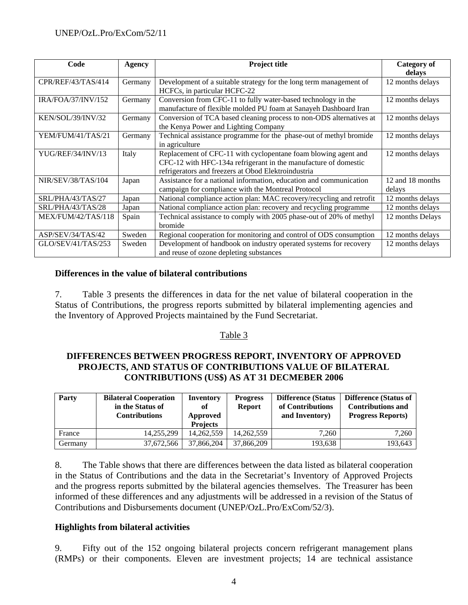| Code                      | <b>Agency</b> | <b>Project title</b>                                                 | <b>Category of</b> |
|---------------------------|---------------|----------------------------------------------------------------------|--------------------|
|                           |               |                                                                      | delays             |
| CPR/REF/43/TAS/414        | Germany       | Development of a suitable strategy for the long term management of   | 12 months delays   |
|                           |               | HCFCs, in particular HCFC-22                                         |                    |
| IRA/FOA/37/INV/152        | Germany       | Conversion from CFC-11 to fully water-based technology in the        | 12 months delays   |
|                           |               | manufacture of flexible molded PU foam at Sanayeh Dashboard Iran     |                    |
| KEN/SOL/39/INV/32         | Germany       | Conversion of TCA based cleaning process to non-ODS alternatives at  | 12 months delays   |
|                           |               | the Kenya Power and Lighting Company                                 |                    |
| YEM/FUM/41/TAS/21         | Germany       | Technical assistance programme for the phase-out of methyl bromide   | 12 months delays   |
|                           |               | in agriculture                                                       |                    |
| YUG/REF/34/INV/13         | Italy         | Replacement of CFC-11 with cyclopentane foam blowing agent and       | 12 months delays   |
|                           |               | CFC-12 with HFC-134a refrigerant in the manufacture of domestic      |                    |
|                           |               | refrigerators and freezers at Obod Elektroindustria                  |                    |
| <b>NIR/SEV/38/TAS/104</b> | Japan         | Assistance for a national information, education and communication   | 12 and 18 months   |
|                           |               | campaign for compliance with the Montreal Protocol                   | delays             |
| SRL/PHA/43/TAS/27         | Japan         | National compliance action plan: MAC recovery/recycling and retrofit | 12 months delays   |
| SRL/PHA/43/TAS/28         | Japan         | National compliance action plan: recovery and recycling programme    | 12 months delays   |
| MEX/FUM/42/TAS/118        | Spain         | Technical assistance to comply with 2005 phase-out of 20% of methyl  | 12 months Delays   |
|                           |               | bromide                                                              |                    |
| ASP/SEV/34/TAS/42         | Sweden        | Regional cooperation for monitoring and control of ODS consumption   | 12 months delays   |
| GLO/SEV/41/TAS/253        | Sweden        | Development of handbook on industry operated systems for recovery    | 12 months delays   |
|                           |               | and reuse of ozone depleting substances                              |                    |

### **Differences in the value of bilateral contributions**

7. Table 3 presents the differences in data for the net value of bilateral cooperation in the Status of Contributions, the progress reports submitted by bilateral implementing agencies and the Inventory of Approved Projects maintained by the Fund Secretariat.

### Table 3

### **DIFFERENCES BETWEEN PROGRESS REPORT, INVENTORY OF APPROVED PROJECTS, AND STATUS OF CONTRIBUTIONS VALUE OF BILATERAL CONTRIBUTIONS (US\$) AS AT 31 DECMEBER 2006**

| Party   | <b>Bilateral Cooperation</b><br>in the Status of<br><b>Contributions</b> | <b>Inventory</b><br>of<br>Approved<br><b>Projects</b> | <b>Progress</b><br><b>Report</b> | <b>Difference (Status</b><br>of Contributions<br>and Inventory) | <b>Difference (Status of</b><br><b>Contributions and</b><br><b>Progress Reports</b> ) |
|---------|--------------------------------------------------------------------------|-------------------------------------------------------|----------------------------------|-----------------------------------------------------------------|---------------------------------------------------------------------------------------|
| France  | 14,255,299                                                               | 14,262,559                                            | 14,262,559                       | 7.260                                                           | 7.260                                                                                 |
| Germany | 37,672,566                                                               | 37.866.204                                            | 37,866,209                       | 193,638                                                         | 193,643                                                                               |

8. The Table shows that there are differences between the data listed as bilateral cooperation in the Status of Contributions and the data in the Secretariat's Inventory of Approved Projects and the progress reports submitted by the bilateral agencies themselves. The Treasurer has been informed of these differences and any adjustments will be addressed in a revision of the Status of Contributions and Disbursements document (UNEP/OzL.Pro/ExCom/52/3).

### **Highlights from bilateral activities**

9. Fifty out of the 152 ongoing bilateral projects concern refrigerant management plans (RMPs) or their components. Eleven are investment projects; 14 are technical assistance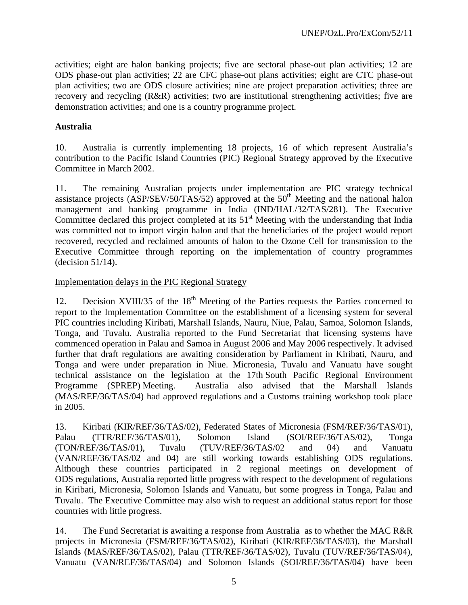activities; eight are halon banking projects; five are sectoral phase-out plan activities; 12 are ODS phase-out plan activities; 22 are CFC phase-out plans activities; eight are CTC phase-out plan activities; two are ODS closure activities; nine are project preparation activities; three are recovery and recycling (R&R) activities; two are institutional strengthening activities; five are demonstration activities; and one is a country programme project.

### **Australia**

10. Australia is currently implementing 18 projects, 16 of which represent Australia's contribution to the Pacific Island Countries (PIC) Regional Strategy approved by the Executive Committee in March 2002.

11. The remaining Australian projects under implementation are PIC strategy technical assistance projects  $(ASP/SEV/50/TAS/52)$  approved at the 50<sup>th</sup> Meeting and the national halon management and banking programme in India (IND/HAL/32/TAS/281). The Executive Committee declared this project completed at its  $51<sup>st</sup>$  Meeting with the understanding that India was committed not to import virgin halon and that the beneficiaries of the project would report recovered, recycled and reclaimed amounts of halon to the Ozone Cell for transmission to the Executive Committee through reporting on the implementation of country programmes (decision 51/14).

### Implementation delays in the PIC Regional Strategy

12. Decision XVIII/35 of the  $18<sup>th</sup>$  Meeting of the Parties requests the Parties concerned to report to the Implementation Committee on the establishment of a licensing system for several PIC countries including Kiribati, Marshall Islands, Nauru, Niue, Palau, Samoa, Solomon Islands, Tonga, and Tuvalu. Australia reported to the Fund Secretariat that licensing systems have commenced operation in Palau and Samoa in August 2006 and May 2006 respectively. It advised further that draft regulations are awaiting consideration by Parliament in Kiribati, Nauru, and Tonga and were under preparation in Niue. Micronesia, Tuvalu and Vanuatu have sought technical assistance on the legislation at the 17th South Pacific Regional Environment Programme (SPREP) Meeting. Australia also advised that the Marshall Islands (MAS/REF/36/TAS/04) had approved regulations and a Customs training workshop took place in 2005.

13. Kiribati (KIR/REF/36/TAS/02), Federated States of Micronesia (FSM/REF/36/TAS/01), Palau (TTR/REF/36/TAS/01), Solomon Island (SOI/REF/36/TAS/02), Tonga (TON/REF/36/TAS/01), Tuvalu (TUV/REF/36/TAS/02 and 04) and Vanuatu (VAN/REF/36/TAS/02 and 04) are still working towards establishing ODS regulations. Although these countries participated in 2 regional meetings on development of ODS regulations, Australia reported little progress with respect to the development of regulations in Kiribati, Micronesia, Solomon Islands and Vanuatu, but some progress in Tonga, Palau and Tuvalu. The Executive Committee may also wish to request an additional status report for those countries with little progress.

14. The Fund Secretariat is awaiting a response from Australia as to whether the MAC R&R projects in Micronesia (FSM/REF/36/TAS/02), Kiribati (KIR/REF/36/TAS/03), the Marshall Islands (MAS/REF/36/TAS/02), Palau (TTR/REF/36/TAS/02), Tuvalu (TUV/REF/36/TAS/04), Vanuatu (VAN/REF/36/TAS/04) and Solomon Islands (SOI/REF/36/TAS/04) have been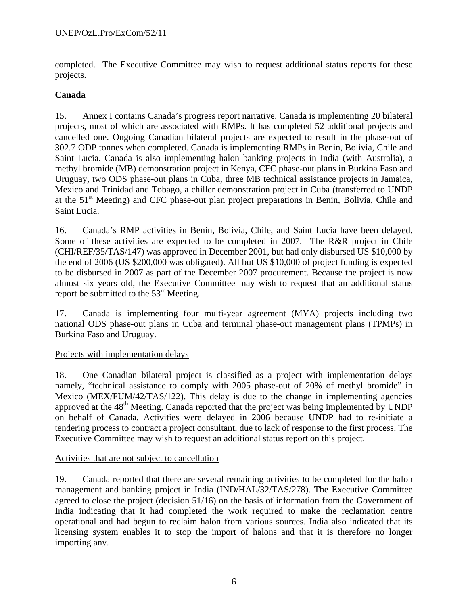completed. The Executive Committee may wish to request additional status reports for these projects.

## **Canada**

15. Annex I contains Canada's progress report narrative. Canada is implementing 20 bilateral projects, most of which are associated with RMPs. It has completed 52 additional projects and cancelled one. Ongoing Canadian bilateral projects are expected to result in the phase-out of 302.7 ODP tonnes when completed. Canada is implementing RMPs in Benin, Bolivia, Chile and Saint Lucia. Canada is also implementing halon banking projects in India (with Australia), a methyl bromide (MB) demonstration project in Kenya, CFC phase-out plans in Burkina Faso and Uruguay, two ODS phase-out plans in Cuba, three MB technical assistance projects in Jamaica, Mexico and Trinidad and Tobago, a chiller demonstration project in Cuba (transferred to UNDP at the 51<sup>st</sup> Meeting) and CFC phase-out plan project preparations in Benin, Bolivia, Chile and Saint Lucia.

16. Canada's RMP activities in Benin, Bolivia, Chile, and Saint Lucia have been delayed. Some of these activities are expected to be completed in 2007. The R&R project in Chile (CHI/REF/35/TAS/147) was approved in December 2001, but had only disbursed US \$10,000 by the end of 2006 (US \$200,000 was obligated). All but US \$10,000 of project funding is expected to be disbursed in 2007 as part of the December 2007 procurement. Because the project is now almost six years old, the Executive Committee may wish to request that an additional status report be submitted to the  $53<sup>rd</sup>$  Meeting.

17. Canada is implementing four multi-year agreement (MYA) projects including two national ODS phase-out plans in Cuba and terminal phase-out management plans (TPMPs) in Burkina Faso and Uruguay.

### Projects with implementation delays

18. One Canadian bilateral project is classified as a project with implementation delays namely, "technical assistance to comply with 2005 phase-out of 20% of methyl bromide" in Mexico (MEX/FUM/42/TAS/122). This delay is due to the change in implementing agencies approved at the  $48<sup>th</sup>$  Meeting. Canada reported that the project was being implemented by UNDP on behalf of Canada. Activities were delayed in 2006 because UNDP had to re-initiate a tendering process to contract a project consultant, due to lack of response to the first process. The Executive Committee may wish to request an additional status report on this project.

### Activities that are not subject to cancellation

19. Canada reported that there are several remaining activities to be completed for the halon management and banking project in India (IND/HAL/32/TAS/278). The Executive Committee agreed to close the project (decision 51/16) on the basis of information from the Government of India indicating that it had completed the work required to make the reclamation centre operational and had begun to reclaim halon from various sources. India also indicated that its licensing system enables it to stop the import of halons and that it is therefore no longer importing any.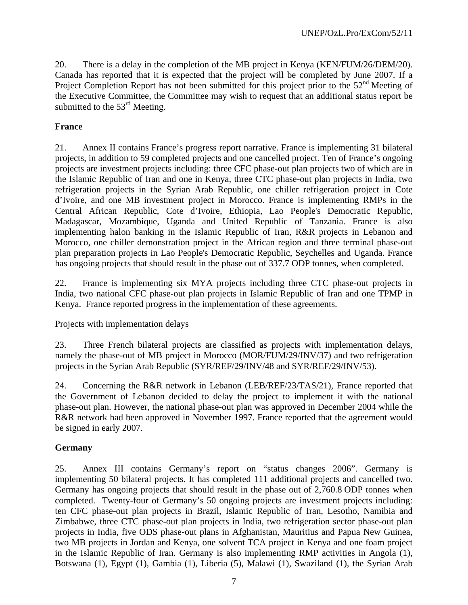20. There is a delay in the completion of the MB project in Kenya (KEN/FUM/26/DEM/20). Canada has reported that it is expected that the project will be completed by June 2007. If a Project Completion Report has not been submitted for this project prior to the 52<sup>nd</sup> Meeting of the Executive Committee, the Committee may wish to request that an additional status report be submitted to the  $53<sup>rd</sup>$  Meeting.

## **France**

21. Annex II contains France's progress report narrative. France is implementing 31 bilateral projects, in addition to 59 completed projects and one cancelled project. Ten of France's ongoing projects are investment projects including: three CFC phase-out plan projects two of which are in the Islamic Republic of Iran and one in Kenya, three CTC phase-out plan projects in India, two refrigeration projects in the Syrian Arab Republic, one chiller refrigeration project in Cote d'Ivoire, and one MB investment project in Morocco. France is implementing RMPs in the Central African Republic, Cote d'Ivoire, Ethiopia, Lao People's Democratic Republic, Madagascar, Mozambique, Uganda and United Republic of Tanzania. France is also implementing halon banking in the Islamic Republic of Iran, R&R projects in Lebanon and Morocco, one chiller demonstration project in the African region and three terminal phase-out plan preparation projects in Lao People's Democratic Republic, Seychelles and Uganda. France has ongoing projects that should result in the phase out of 337.7 ODP tonnes, when completed.

22. France is implementing six MYA projects including three CTC phase-out projects in India, two national CFC phase-out plan projects in Islamic Republic of Iran and one TPMP in Kenya. France reported progress in the implementation of these agreements.

### Projects with implementation delays

23. Three French bilateral projects are classified as projects with implementation delays, namely the phase-out of MB project in Morocco (MOR/FUM/29/INV/37) and two refrigeration projects in the Syrian Arab Republic (SYR/REF/29/INV/48 and SYR/REF/29/INV/53).

24. Concerning the R&R network in Lebanon (LEB/REF/23/TAS/21), France reported that the Government of Lebanon decided to delay the project to implement it with the national phase-out plan. However, the national phase-out plan was approved in December 2004 while the R&R network had been approved in November 1997. France reported that the agreement would be signed in early 2007.

## **Germany**

25. Annex III contains Germany's report on "status changes 2006". Germany is implementing 50 bilateral projects. It has completed 111 additional projects and cancelled two. Germany has ongoing projects that should result in the phase out of 2,760.8 ODP tonnes when completed. Twenty-four of Germany's 50 ongoing projects are investment projects including: ten CFC phase-out plan projects in Brazil, Islamic Republic of Iran, Lesotho, Namibia and Zimbabwe, three CTC phase-out plan projects in India, two refrigeration sector phase-out plan projects in India, five ODS phase-out plans in Afghanistan, Mauritius and Papua New Guinea, two MB projects in Jordan and Kenya, one solvent TCA project in Kenya and one foam project in the Islamic Republic of Iran. Germany is also implementing RMP activities in Angola (1), Botswana (1), Egypt (1), Gambia (1), Liberia (5), Malawi (1), Swaziland (1), the Syrian Arab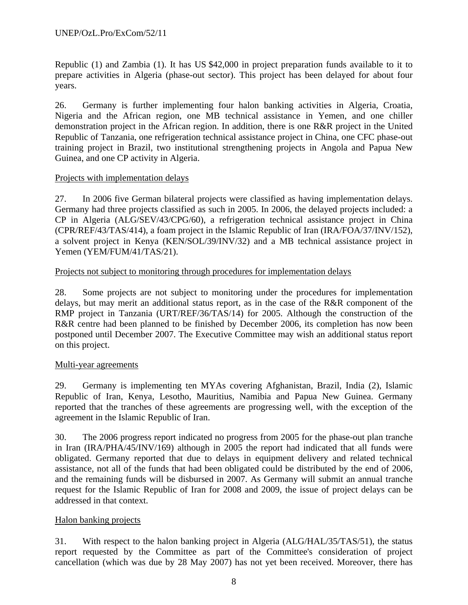Republic (1) and Zambia (1). It has US \$42,000 in project preparation funds available to it to prepare activities in Algeria (phase-out sector). This project has been delayed for about four years.

26. Germany is further implementing four halon banking activities in Algeria, Croatia, Nigeria and the African region, one MB technical assistance in Yemen, and one chiller demonstration project in the African region. In addition, there is one R&R project in the United Republic of Tanzania, one refrigeration technical assistance project in China, one CFC phase-out training project in Brazil, two institutional strengthening projects in Angola and Papua New Guinea, and one CP activity in Algeria.

### Projects with implementation delays

27. In 2006 five German bilateral projects were classified as having implementation delays. Germany had three projects classified as such in 2005. In 2006, the delayed projects included: a CP in Algeria (ALG/SEV/43/CPG/60), a refrigeration technical assistance project in China (CPR/REF/43/TAS/414), a foam project in the Islamic Republic of Iran (IRA/FOA/37/INV/152), a solvent project in Kenya (KEN/SOL/39/INV/32) and a MB technical assistance project in Yemen (YEM/FUM/41/TAS/21).

### Projects not subject to monitoring through procedures for implementation delays

28. Some projects are not subject to monitoring under the procedures for implementation delays, but may merit an additional status report, as in the case of the R&R component of the RMP project in Tanzania (URT/REF/36/TAS/14) for 2005. Although the construction of the R&R centre had been planned to be finished by December 2006, its completion has now been postponed until December 2007. The Executive Committee may wish an additional status report on this project.

### Multi-year agreements

29. Germany is implementing ten MYAs covering Afghanistan, Brazil, India (2), Islamic Republic of Iran, Kenya, Lesotho, Mauritius, Namibia and Papua New Guinea. Germany reported that the tranches of these agreements are progressing well, with the exception of the agreement in the Islamic Republic of Iran.

30. The 2006 progress report indicated no progress from 2005 for the phase-out plan tranche in Iran (IRA/PHA/45/INV/169) although in 2005 the report had indicated that all funds were obligated. Germany reported that due to delays in equipment delivery and related technical assistance, not all of the funds that had been obligated could be distributed by the end of 2006, and the remaining funds will be disbursed in 2007. As Germany will submit an annual tranche request for the Islamic Republic of Iran for 2008 and 2009, the issue of project delays can be addressed in that context.

### Halon banking projects

31. With respect to the halon banking project in Algeria (ALG/HAL/35/TAS/51), the status report requested by the Committee as part of the Committee's consideration of project cancellation (which was due by 28 May 2007) has not yet been received. Moreover, there has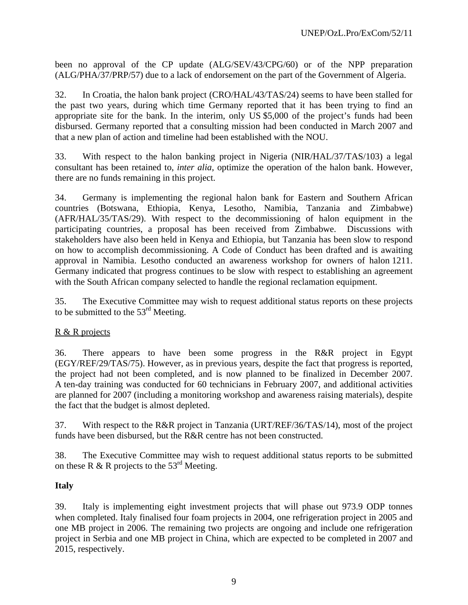been no approval of the CP update (ALG/SEV/43/CPG/60) or of the NPP preparation (ALG/PHA/37/PRP/57) due to a lack of endorsement on the part of the Government of Algeria.

32. In Croatia, the halon bank project (CRO/HAL/43/TAS/24) seems to have been stalled for the past two years, during which time Germany reported that it has been trying to find an appropriate site for the bank. In the interim, only US \$5,000 of the project's funds had been disbursed. Germany reported that a consulting mission had been conducted in March 2007 and that a new plan of action and timeline had been established with the NOU.

33. With respect to the halon banking project in Nigeria (NIR/HAL/37/TAS/103) a legal consultant has been retained to, *inter alia*, optimize the operation of the halon bank. However, there are no funds remaining in this project.

34. Germany is implementing the regional halon bank for Eastern and Southern African countries (Botswana, Ethiopia, Kenya, Lesotho, Namibia, Tanzania and Zimbabwe) (AFR/HAL/35/TAS/29). With respect to the decommissioning of halon equipment in the participating countries, a proposal has been received from Zimbabwe. Discussions with stakeholders have also been held in Kenya and Ethiopia, but Tanzania has been slow to respond on how to accomplish decommissioning. A Code of Conduct has been drafted and is awaiting approval in Namibia. Lesotho conducted an awareness workshop for owners of halon 1211. Germany indicated that progress continues to be slow with respect to establishing an agreement with the South African company selected to handle the regional reclamation equipment.

35. The Executive Committee may wish to request additional status reports on these projects to be submitted to the  $53<sup>rd</sup>$  Meeting.

### R & R projects

36. There appears to have been some progress in the R&R project in Egypt (EGY/REF/29/TAS/75). However, as in previous years, despite the fact that progress is reported, the project had not been completed, and is now planned to be finalized in December 2007. A ten-day training was conducted for 60 technicians in February 2007, and additional activities are planned for 2007 (including a monitoring workshop and awareness raising materials), despite the fact that the budget is almost depleted.

37. With respect to the R&R project in Tanzania (URT/REF/36/TAS/14), most of the project funds have been disbursed, but the R&R centre has not been constructed.

38. The Executive Committee may wish to request additional status reports to be submitted on these R & R projects to the 53<sup>rd</sup> Meeting.

### **Italy**

39. Italy is implementing eight investment projects that will phase out 973.9 ODP tonnes when completed. Italy finalised four foam projects in 2004, one refrigeration project in 2005 and one MB project in 2006. The remaining two projects are ongoing and include one refrigeration project in Serbia and one MB project in China, which are expected to be completed in 2007 and 2015, respectively.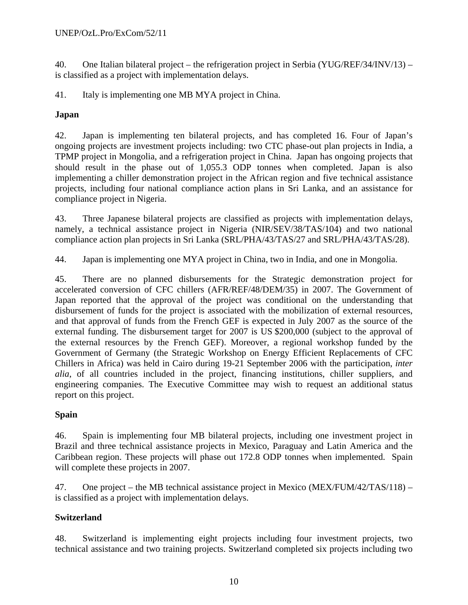40. One Italian bilateral project – the refrigeration project in Serbia (YUG/REF/34/INV/13) – is classified as a project with implementation delays.

41. Italy is implementing one MB MYA project in China.

## **Japan**

42. Japan is implementing ten bilateral projects, and has completed 16. Four of Japan's ongoing projects are investment projects including: two CTC phase-out plan projects in India, a TPMP project in Mongolia, and a refrigeration project in China. Japan has ongoing projects that should result in the phase out of 1,055.3 ODP tonnes when completed. Japan is also implementing a chiller demonstration project in the African region and five technical assistance projects, including four national compliance action plans in Sri Lanka, and an assistance for compliance project in Nigeria.

43. Three Japanese bilateral projects are classified as projects with implementation delays, namely, a technical assistance project in Nigeria (NIR/SEV/38/TAS/104) and two national compliance action plan projects in Sri Lanka (SRL/PHA/43/TAS/27 and SRL/PHA/43/TAS/28).

44. Japan is implementing one MYA project in China, two in India, and one in Mongolia.

45. There are no planned disbursements for the Strategic demonstration project for accelerated conversion of CFC chillers (AFR/REF/48/DEM/35) in 2007. The Government of Japan reported that the approval of the project was conditional on the understanding that disbursement of funds for the project is associated with the mobilization of external resources, and that approval of funds from the French GEF is expected in July 2007 as the source of the external funding. The disbursement target for 2007 is US \$200,000 (subject to the approval of the external resources by the French GEF). Moreover, a regional workshop funded by the Government of Germany (the Strategic Workshop on Energy Efficient Replacements of CFC Chillers in Africa) was held in Cairo during 19-21 September 2006 with the participation, *inter alia*, of all countries included in the project, financing institutions, chiller suppliers, and engineering companies. The Executive Committee may wish to request an additional status report on this project.

## **Spain**

46. Spain is implementing four MB bilateral projects, including one investment project in Brazil and three technical assistance projects in Mexico, Paraguay and Latin America and the Caribbean region. These projects will phase out 172.8 ODP tonnes when implemented. Spain will complete these projects in 2007.

47. One project – the MB technical assistance project in Mexico (MEX/FUM/42/TAS/118) – is classified as a project with implementation delays.

## **Switzerland**

48. Switzerland is implementing eight projects including four investment projects, two technical assistance and two training projects. Switzerland completed six projects including two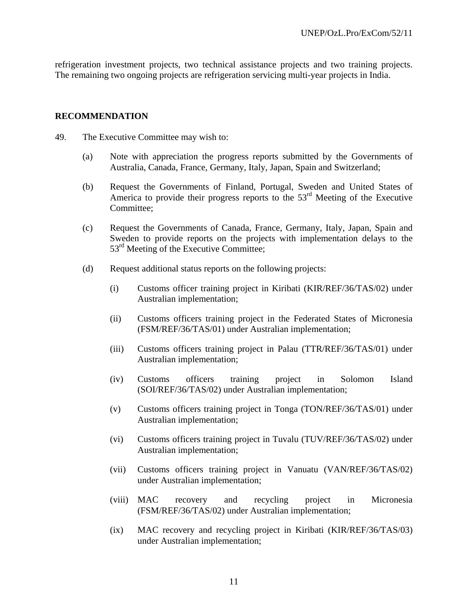refrigeration investment projects, two technical assistance projects and two training projects. The remaining two ongoing projects are refrigeration servicing multi-year projects in India.

### **RECOMMENDATION**

- 49. The Executive Committee may wish to:
	- (a) Note with appreciation the progress reports submitted by the Governments of Australia, Canada, France, Germany, Italy, Japan, Spain and Switzerland;
	- (b) Request the Governments of Finland, Portugal, Sweden and United States of America to provide their progress reports to the 53<sup>rd</sup> Meeting of the Executive Committee:
	- (c) Request the Governments of Canada, France, Germany, Italy, Japan, Spain and Sweden to provide reports on the projects with implementation delays to the 53<sup>rd</sup> Meeting of the Executive Committee;
	- (d) Request additional status reports on the following projects:
		- (i) Customs officer training project in Kiribati (KIR/REF/36/TAS/02) under Australian implementation;
		- (ii) Customs officers training project in the Federated States of Micronesia (FSM/REF/36/TAS/01) under Australian implementation;
		- (iii) Customs officers training project in Palau (TTR/REF/36/TAS/01) under Australian implementation;
		- (iv) Customs officers training project in Solomon Island (SOI/REF/36/TAS/02) under Australian implementation;
		- (v) Customs officers training project in Tonga (TON/REF/36/TAS/01) under Australian implementation;
		- (vi) Customs officers training project in Tuvalu (TUV/REF/36/TAS/02) under Australian implementation;
		- (vii) Customs officers training project in Vanuatu (VAN/REF/36/TAS/02) under Australian implementation;
		- (viii) MAC recovery and recycling project in Micronesia (FSM/REF/36/TAS/02) under Australian implementation;
		- (ix) MAC recovery and recycling project in Kiribati (KIR/REF/36/TAS/03) under Australian implementation;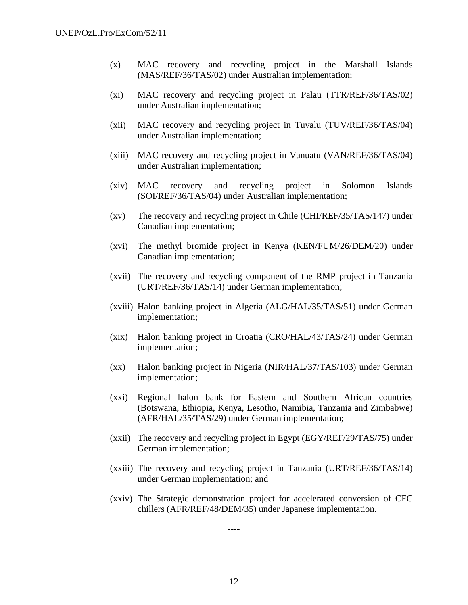- (x) MAC recovery and recycling project in the Marshall Islands (MAS/REF/36/TAS/02) under Australian implementation;
- (xi) MAC recovery and recycling project in Palau (TTR/REF/36/TAS/02) under Australian implementation;
- (xii) MAC recovery and recycling project in Tuvalu (TUV/REF/36/TAS/04) under Australian implementation;
- (xiii) MAC recovery and recycling project in Vanuatu (VAN/REF/36/TAS/04) under Australian implementation;
- (xiv) MAC recovery and recycling project in Solomon Islands (SOI/REF/36/TAS/04) under Australian implementation;
- (xv) The recovery and recycling project in Chile (CHI/REF/35/TAS/147) under Canadian implementation;
- (xvi) The methyl bromide project in Kenya (KEN/FUM/26/DEM/20) under Canadian implementation;
- (xvii) The recovery and recycling component of the RMP project in Tanzania (URT/REF/36/TAS/14) under German implementation;
- (xviii) Halon banking project in Algeria (ALG/HAL/35/TAS/51) under German implementation;
- (xix) Halon banking project in Croatia (CRO/HAL/43/TAS/24) under German implementation;
- (xx) Halon banking project in Nigeria (NIR/HAL/37/TAS/103) under German implementation;
- (xxi) Regional halon bank for Eastern and Southern African countries (Botswana, Ethiopia, Kenya, Lesotho, Namibia, Tanzania and Zimbabwe) (AFR/HAL/35/TAS/29) under German implementation;
- (xxii) The recovery and recycling project in Egypt (EGY/REF/29/TAS/75) under German implementation;
- (xxiii) The recovery and recycling project in Tanzania (URT/REF/36/TAS/14) under German implementation; and
- (xxiv) The Strategic demonstration project for accelerated conversion of CFC chillers (AFR/REF/48/DEM/35) under Japanese implementation.

----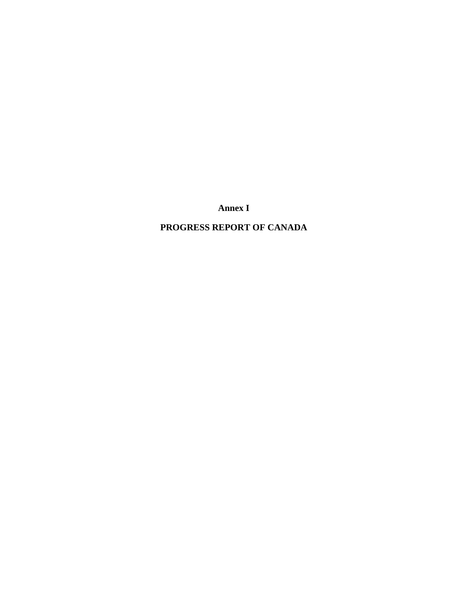**Annex I** 

## **PROGRESS REPORT OF CANADA**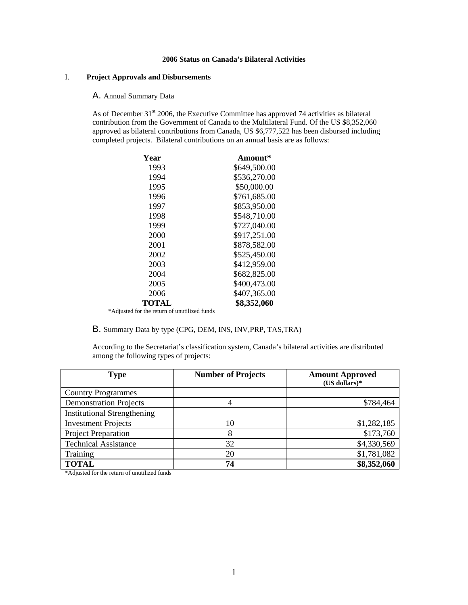#### **2006 Status on Canada's Bilateral Activities**

#### I. **Project Approvals and Disbursements**

#### A. Annual Summary Data

As of December  $31<sup>st</sup>$  2006, the Executive Committee has approved 74 activities as bilateral contribution from the Government of Canada to the Multilateral Fund. Of the US \$8,352,060 approved as bilateral contributions from Canada, US \$6,777,522 has been disbursed including completed projects. Bilateral contributions on an annual basis are as follows:

| Year                                         | Amount*      |
|----------------------------------------------|--------------|
| 1993                                         | \$649,500.00 |
| 1994                                         | \$536,270.00 |
| 1995                                         | \$50,000.00  |
| 1996                                         | \$761,685.00 |
| 1997                                         | \$853,950.00 |
| 1998                                         | \$548,710.00 |
| 1999                                         | \$727,040.00 |
| 2000                                         | \$917,251.00 |
| 2001                                         | \$878,582.00 |
| 2002                                         | \$525,450.00 |
| 2003                                         | \$412,959.00 |
| 2004                                         | \$682,825.00 |
| 2005                                         | \$400,473.00 |
| 2006                                         | \$407,365.00 |
| TOTAL                                        | \$8,352,060  |
| *Adjusted for the return of unutilized funds |              |

B. Summary Data by type (CPG, DEM, INS, INV,PRP, TAS,TRA)

According to the Secretariat's classification system, Canada's bilateral activities are distributed among the following types of projects:

| <b>Type</b>                        | <b>Number of Projects</b> | <b>Amount Approved</b><br>$(US$ dollars)* |
|------------------------------------|---------------------------|-------------------------------------------|
| <b>Country Programmes</b>          |                           |                                           |
| <b>Demonstration Projects</b>      |                           | \$784,464                                 |
| <b>Institutional Strengthening</b> |                           |                                           |
| <b>Investment Projects</b>         | 10                        | \$1,282,185                               |
| <b>Project Preparation</b>         | 8                         | \$173,760                                 |
| <b>Technical Assistance</b>        | 32                        | \$4,330,569                               |
| Training                           | 20                        | \$1,781,082                               |
| <b>TOTAL</b>                       | 74                        | \$8,352,060                               |

\*Adjusted for the return of unutilized funds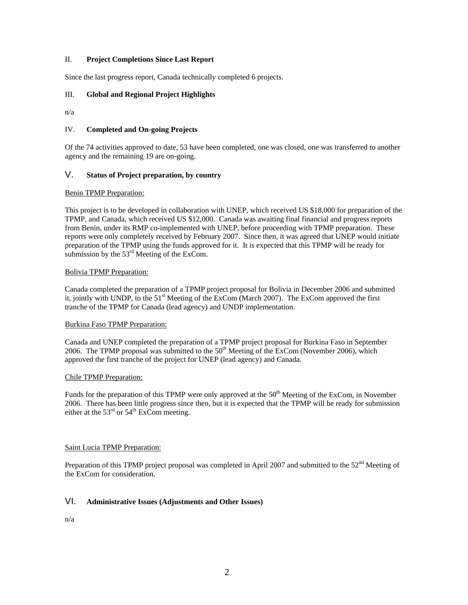#### II. **Project Completions Since Last Report**

Since the last progress report, Canada technically completed 6 projects.

#### III. **Global and Regional Project Highlights**

n/a

#### IV. **Completed and On-going Projects**

Of the 74 activities approved to date, 53 have been completed, one was closed, one was transferred to another agency and the remaining 19 are on-going.

#### V. **Status of Project preparation, by country**

#### Benin TPMP Preparation:

This project is to be developed in collaboration with UNEP, which received US \$18,000 for preparation of the TPMP, and Canada, which received US \$12,000. Canada was awaiting final financial and progress reports from Benin, under its RMP co-implemented with UNEP, before proceeding with TPMP preparation. These reports were only completely received by February 2007. Since then, it was agreed that UNEP would initiate preparation of the TPMP using the funds approved for it. It is expected that this TPMP will be ready for submission by the  $53<sup>rd</sup>$  Meeting of the ExCom.

#### Bolivia TPMP Preparation:

Canada completed the preparation of a TPMP project proposal for Bolivia in December 2006 and submitted it, jointly with UNDP, to the  $51<sup>st</sup>$  Meeting of the ExCom (March 2007). The ExCom approved the first tranche of the TPMP for Canada (lead agency) and UNDP implementation.

#### Burkina Faso TPMP Preparation:

Canada and UNEP completed the preparation of a TPMP project proposal for Burkina Faso in September 2006. The TPMP proposal was submitted to the  $50<sup>th</sup>$  Meeting of the ExCom (November 2006), which approved the first tranche of the project for UNEP (lead agency) and Canada.

#### Chile TPMP Preparation:

Funds for the preparation of this TPMP were only approved at the 50<sup>th</sup> Meeting of the ExCom, in November 2006. There has been little progress since then, but it is expected that the TPMP will be ready for submission either at the  $53<sup>rd</sup>$  or  $54<sup>th</sup>$  ExCom meeting.

#### Saint Lucia TPMP Preparation:

Preparation of this TPMP project proposal was completed in April 2007 and submitted to the  $52<sup>nd</sup>$  Meeting of the ExCom for consideration.

#### VI. **Administrative Issues (Adjustments and Other Issues)**

n/a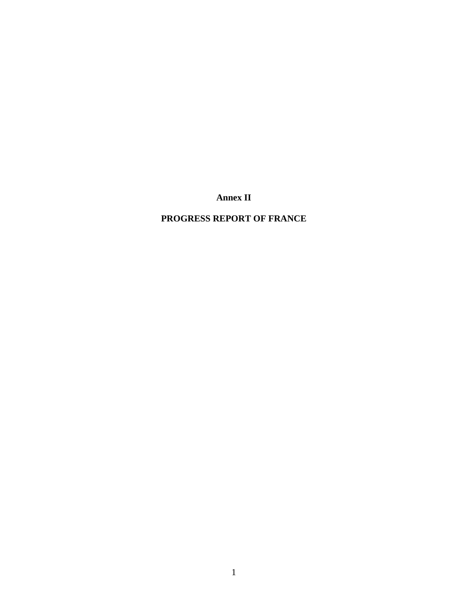**Annex II** 

## **PROGRESS REPORT OF FRANCE**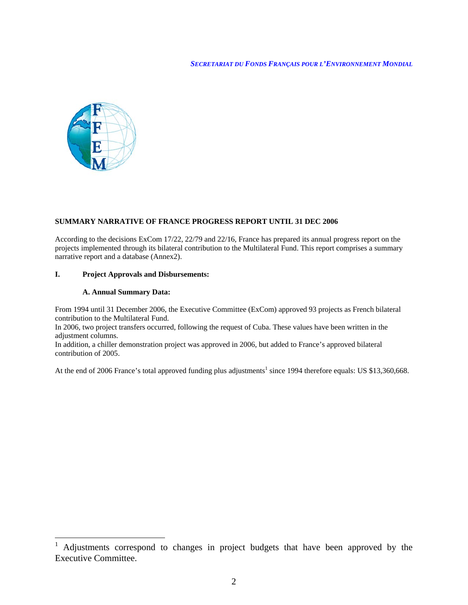

#### **SUMMARY NARRATIVE OF FRANCE PROGRESS REPORT UNTIL 31 DEC 2006**

According to the decisions ExCom 17/22, 22/79 and 22/16, France has prepared its annual progress report on the projects implemented through its bilateral contribution to the Multilateral Fund. This report comprises a summary narrative report and a database (Annex2).

#### **I. Project Approvals and Disbursements:**

#### **A. Annual Summary Data:**

 $\overline{a}$ 

From 1994 until 31 December 2006, the Executive Committee (ExCom) approved 93 projects as French bilateral contribution to the Multilateral Fund.

In 2006, two project transfers occurred, following the request of Cuba. These values have been written in the adjustment columns.

In addition, a chiller demonstration project was approved in 2006, but added to France's approved bilateral contribution of 2005.

At the end of 2006 France's total approved funding plus adjustments<sup>1</sup> since 1994 therefore equals: US \$13,360,668.

<sup>1</sup> Adjustments correspond to changes in project budgets that have been approved by the Executive Committee.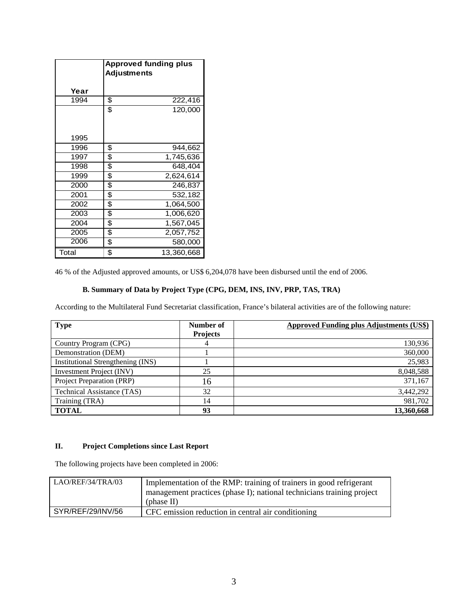|       | <b>Approved funding plus</b><br><b>Adjustments</b> |            |  |  |  |  |  |
|-------|----------------------------------------------------|------------|--|--|--|--|--|
| Year  |                                                    |            |  |  |  |  |  |
| 1994  | \$                                                 | 222,416    |  |  |  |  |  |
|       | \$                                                 | 120,000    |  |  |  |  |  |
| 1995  |                                                    |            |  |  |  |  |  |
| 1996  | \$                                                 | 944,662    |  |  |  |  |  |
| 1997  | \$                                                 | 1,745,636  |  |  |  |  |  |
| 1998  | \$                                                 | 648,404    |  |  |  |  |  |
| 1999  | \$                                                 | 2,624,614  |  |  |  |  |  |
| 2000  | \$                                                 | 246,837    |  |  |  |  |  |
| 2001  | \$                                                 | 532,182    |  |  |  |  |  |
| 2002  | \$                                                 | 1,064,500  |  |  |  |  |  |
| 2003  | \$                                                 | 1,006,620  |  |  |  |  |  |
| 2004  | \$                                                 | 1,567,045  |  |  |  |  |  |
| 2005  | \$                                                 | 2,057,752  |  |  |  |  |  |
| 2006  | \$                                                 | 580,000    |  |  |  |  |  |
| Total | \$                                                 | 13,360,668 |  |  |  |  |  |

46 % of the Adjusted approved amounts, or US\$ 6,204,078 have been disbursed until the end of 2006.

#### **B. Summary of Data by Project Type (CPG, DEM, INS, INV, PRP, TAS, TRA)**

According to the Multilateral Fund Secretariat classification, France's bilateral activities are of the following nature:

| <b>Type</b>                       | Number of<br><b>Projects</b> | <b>Approved Funding plus Adjustments (US\$)</b> |
|-----------------------------------|------------------------------|-------------------------------------------------|
| Country Program (CPG)             | 4                            | 130,936                                         |
| Demonstration (DEM)               |                              | 360,000                                         |
| Institutional Strengthening (INS) |                              | 25,983                                          |
| Investment Project (INV)          | 25                           | 8,048,588                                       |
| Project Preparation (PRP)         | 16                           | 371,167                                         |
| <b>Technical Assistance (TAS)</b> | 32                           | 3,442,292                                       |
| Training (TRA)                    | 14                           | 981,702                                         |
| <b>TOTAL</b>                      | 93                           | 13,360,668                                      |

#### **II. Project Completions since Last Report**

The following projects have been completed in 2006:

| LAO/REF/34/TRA/03 | Implementation of the RMP: training of trainers in good refrigerant<br>management practices (phase I); national technicians training project<br>(phase II) |
|-------------------|------------------------------------------------------------------------------------------------------------------------------------------------------------|
| SYR/REF/29/INV/56 | CFC emission reduction in central air conditioning                                                                                                         |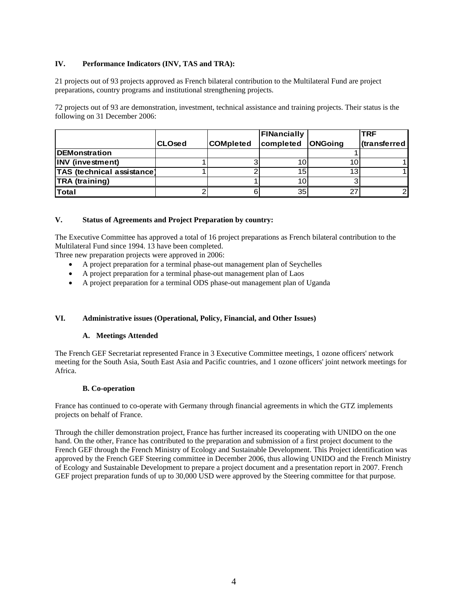#### **IV. Performance Indicators (INV, TAS and TRA):**

21 projects out of 93 projects approved as French bilateral contribution to the Multilateral Fund are project preparations, country programs and institutional strengthening projects.

72 projects out of 93 are demonstration, investment, technical assistance and training projects. Their status is the following on 31 December 2006:

|                            |                |                  | FINancially |                | <b>TRF</b>  |
|----------------------------|----------------|------------------|-------------|----------------|-------------|
|                            | <b>ICLOsed</b> | <b>COMpleted</b> | completed   | <b>ONGoing</b> | transterred |
| <b>DEMonstration</b>       |                |                  |             |                |             |
| <b>INV</b> (investment)    |                |                  | 10          | 10             |             |
| TAS (technical assistance) |                |                  | 15          | 13             |             |
| <b>TRA</b> (training)      |                |                  | 10          |                |             |
| <b>Total</b>               |                |                  | 35          |                |             |

#### **V. Status of Agreements and Project Preparation by country:**

The Executive Committee has approved a total of 16 project preparations as French bilateral contribution to the Multilateral Fund since 1994. 13 have been completed.

Three new preparation projects were approved in 2006:

- A project preparation for a terminal phase-out management plan of Seychelles
- A project preparation for a terminal phase-out management plan of Laos
- A project preparation for a terminal ODS phase-out management plan of Uganda

#### **VI. Administrative issues (Operational, Policy, Financial, and Other Issues)**

#### **A. Meetings Attended**

The French GEF Secretariat represented France in 3 Executive Committee meetings, 1 ozone officers' network meeting for the South Asia, South East Asia and Pacific countries, and 1 ozone officers' joint network meetings for Africa.

#### **B. Co-operation**

France has continued to co-operate with Germany through financial agreements in which the GTZ implements projects on behalf of France.

Through the chiller demonstration project, France has further increased its cooperating with UNIDO on the one hand. On the other, France has contributed to the preparation and submission of a first project document to the French GEF through the French Ministry of Ecology and Sustainable Development. This Project identification was approved by the French GEF Steering committee in December 2006, thus allowing UNIDO and the French Ministry of Ecology and Sustainable Development to prepare a project document and a presentation report in 2007. French GEF project preparation funds of up to 30,000 USD were approved by the Steering committee for that purpose.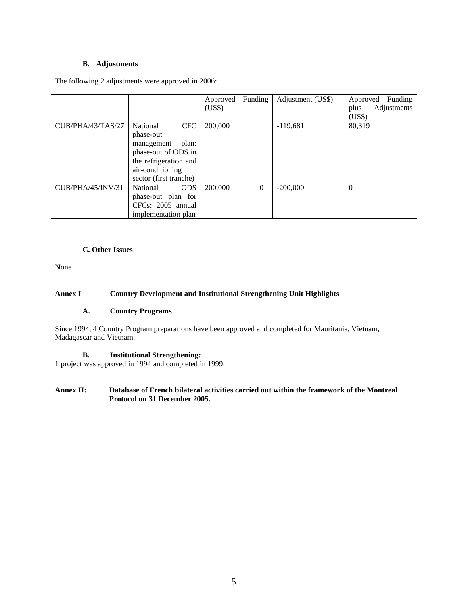#### **B. Adjustments**

The following 2 adjustments were approved in 2006:

|                          |                                                                                                                                                          | Approved<br>(US\$) | Funding  | Adjustment (US\$) | Funding<br>Approved<br>Adjustments<br>plus<br>(US\$) |
|--------------------------|----------------------------------------------------------------------------------------------------------------------------------------------------------|--------------------|----------|-------------------|------------------------------------------------------|
| CUB/PHA/43/TAS/27        | National<br><b>CFC</b><br>phase-out<br>plan:<br>management<br>phase-out of ODS in<br>the refrigeration and<br>air-conditioning<br>sector (first tranche) | 200,000            |          | $-119,681$        | 80,319                                               |
| <b>CUB/PHA/45/INV/31</b> | National<br><b>ODS</b><br>phase-out plan for<br>CFCs: 2005 annual<br>implementation plan                                                                 | 200,000            | $\Omega$ | $-200,000$        | $\Omega$                                             |

#### **C. Other Issues**

None

#### **Annex I Country Development and Institutional Strengthening Unit Highlights**

#### **A. Country Programs**

Since 1994, 4 Country Program preparations have been approved and completed for Mauritania, Vietnam, Madagascar and Vietnam.

#### **B. Institutional Strengthening:**

1 project was approved in 1994 and completed in 1999.

#### **Annex II: Database of French bilateral activities carried out within the framework of the Montreal Protocol on 31 December 2005.**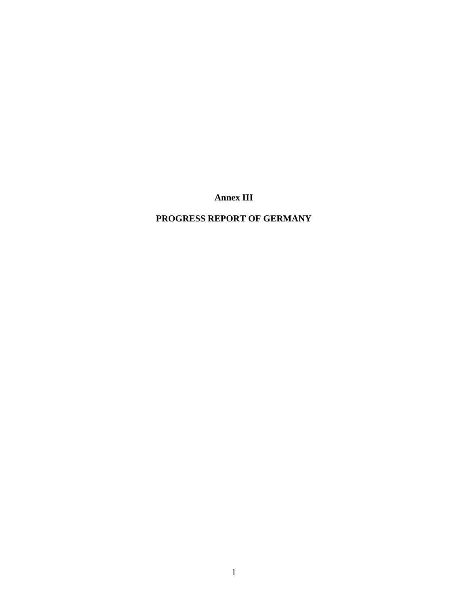**Annex III** 

## **PROGRESS REPORT OF GERMANY**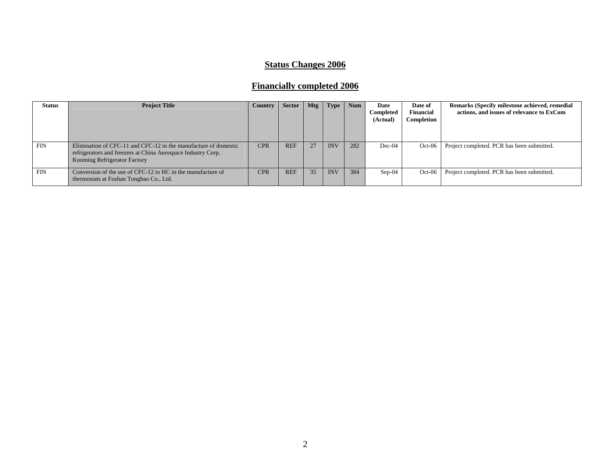## **Status Changes 2006**

# **Financially completed 2006**

| <b>Status</b> | <b>Project Title</b>                                                                                                                                            | <b>Country</b> | <b>Sector</b> | Mtg | Type       | <b>Num</b> | Date<br>Completed<br>(Actual) | Date of<br>Financial<br>Completion | Remarks (Specify milestone achieved, remedial<br>actions, and issues of relevance to ExCom |
|---------------|-----------------------------------------------------------------------------------------------------------------------------------------------------------------|----------------|---------------|-----|------------|------------|-------------------------------|------------------------------------|--------------------------------------------------------------------------------------------|
| <b>FIN</b>    | Elimination of CFC-11 and CFC-12 in the manufacture of domestic<br>refrigerators and freezers at China Aerospace Industry Corp.<br>Kunming Refrigerator Factory | <b>CPR</b>     | <b>REF</b>    | 27  | <b>INV</b> | 282        | $Dec-04$                      | $Oct-06$                           | Project completed. PCR has been submitted.                                                 |
| <b>FIN</b>    | Conversion of the use of CFC-12 to HC in the manufacture of<br>thermostats at Foshan Tongbao Co., Ltd.                                                          | <b>CPR</b>     | <b>REF</b>    | 35  | <b>INV</b> | 384        | $Sep-04$                      | $Oct-06$                           | Project completed. PCR has been submitted.                                                 |